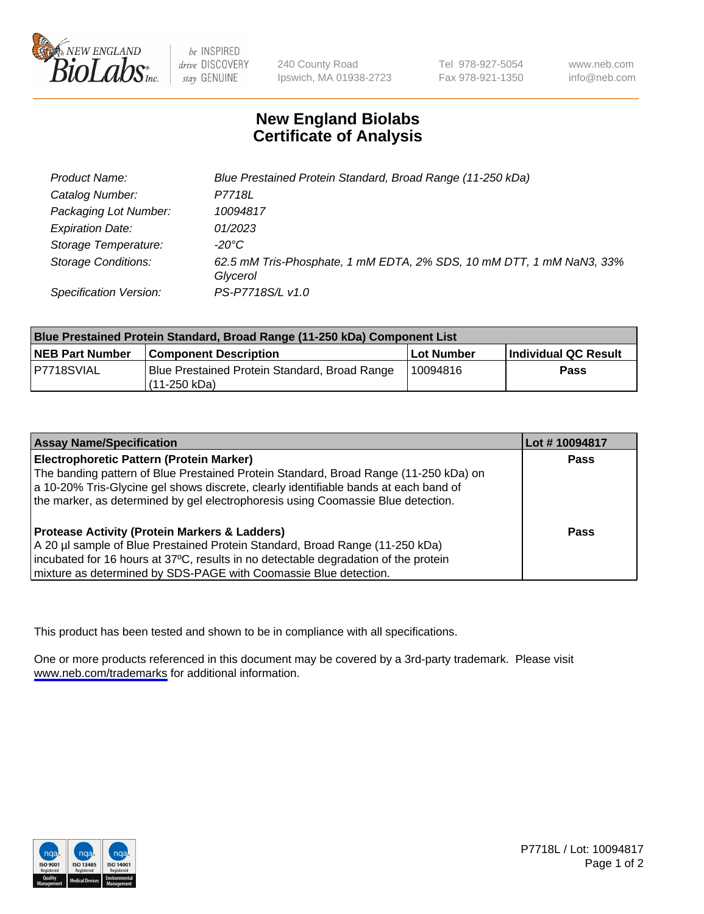

be INSPIRED drive DISCOVERY stay GENUINE

240 County Road Ipswich, MA 01938-2723 Tel 978-927-5054 Fax 978-921-1350

www.neb.com info@neb.com

## **New England Biolabs Certificate of Analysis**

| Product Name:              | Blue Prestained Protein Standard, Broad Range (11-250 kDa)                       |
|----------------------------|----------------------------------------------------------------------------------|
| Catalog Number:            | P7718L                                                                           |
| Packaging Lot Number:      | 10094817                                                                         |
| <b>Expiration Date:</b>    | 01/2023                                                                          |
| Storage Temperature:       | -20°C                                                                            |
| <b>Storage Conditions:</b> | 62.5 mM Tris-Phosphate, 1 mM EDTA, 2% SDS, 10 mM DTT, 1 mM NaN3, 33%<br>Glycerol |
| Specification Version:     | PS-P7718S/L v1.0                                                                 |

| <b>Blue Prestained Protein Standard, Broad Range (11-250 kDa) Component List</b> |                                                               |            |                      |  |
|----------------------------------------------------------------------------------|---------------------------------------------------------------|------------|----------------------|--|
| <b>NEB Part Number</b>                                                           | <b>Component Description</b>                                  | Lot Number | Individual QC Result |  |
| P7718SVIAL                                                                       | Blue Prestained Protein Standard, Broad Range<br>(11-250 kDa) | 10094816   | <b>Pass</b>          |  |

| <b>Assay Name/Specification</b>                                                      | Lot #10094817 |
|--------------------------------------------------------------------------------------|---------------|
| <b>Electrophoretic Pattern (Protein Marker)</b>                                      | <b>Pass</b>   |
| The banding pattern of Blue Prestained Protein Standard, Broad Range (11-250 kDa) on |               |
| a 10-20% Tris-Glycine gel shows discrete, clearly identifiable bands at each band of |               |
| the marker, as determined by gel electrophoresis using Coomassie Blue detection.     |               |
|                                                                                      |               |
| <b>Protease Activity (Protein Markers &amp; Ladders)</b>                             | <b>Pass</b>   |
| A 20 µl sample of Blue Prestained Protein Standard, Broad Range (11-250 kDa)         |               |
| incubated for 16 hours at 37°C, results in no detectable degradation of the protein  |               |
| mixture as determined by SDS-PAGE with Coomassie Blue detection.                     |               |

This product has been tested and shown to be in compliance with all specifications.

One or more products referenced in this document may be covered by a 3rd-party trademark. Please visit <www.neb.com/trademarks>for additional information.